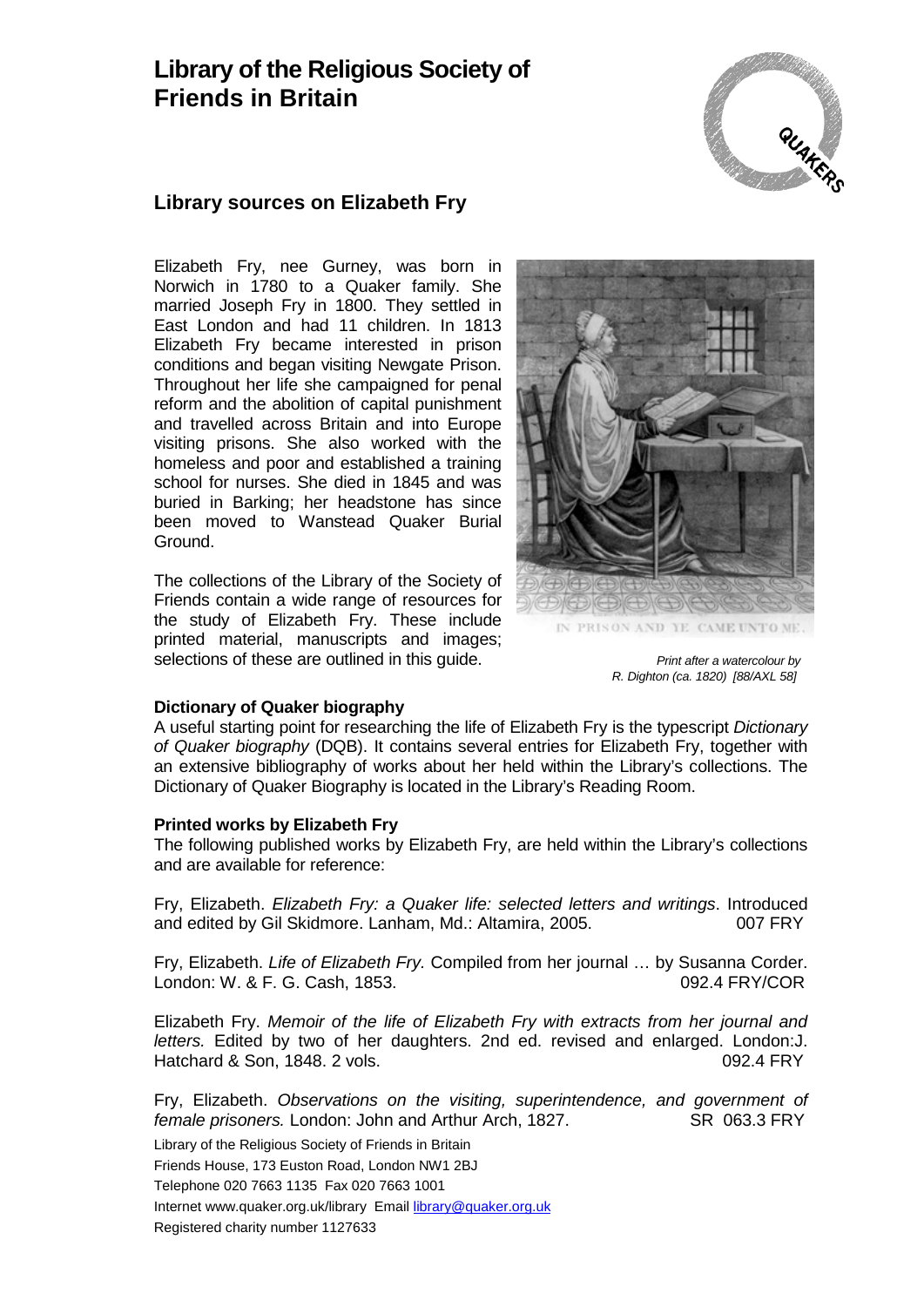## **Library of the Religious Society of Friends in Britain**



### **Library sources on Elizabeth Fry**

Elizabeth Fry, nee Gurney, was born in Norwich in 1780 to a Quaker family. She married Joseph Fry in 1800. They settled in East London and had 11 children. In 1813 Elizabeth Fry became interested in prison conditions and began visiting Newgate Prison. Throughout her life she campaigned for penal reform and the abolition of capital punishment and travelled across Britain and into Europe visiting prisons. She also worked with the homeless and poor and established a training school for nurses. She died in 1845 and was buried in Barking; her headstone has since been moved to Wanstead Quaker Burial Ground.

The collections of the Library of the Society of Friends contain a wide range of resources for the study of Elizabeth Fry. These include printed material, manuscripts and images; selections of these are outlined in this quide. *Print after a watercolour by* 



*R. Dighton (ca. 1820) [88/AXL 58]*

#### **Dictionary of Quaker biography**

A useful starting point for researching the life of Elizabeth Fry is the typescript *Dictionary of Quaker biography* (DQB). It contains several entries for Elizabeth Fry, together with an extensive bibliography of works about her held within the Library's collections. The Dictionary of Quaker Biography is located in the Library's Reading Room.

#### **Printed works by Elizabeth Fry**

The following published works by Elizabeth Fry, are held within the Library's collections and are available for reference:

Fry, Elizabeth. *Elizabeth Fry: a Quaker life: selected letters and writings*. Introduced and edited by Gil Skidmore. Lanham, Md.: Altamira, 2005. 007 FRY

Fry, Elizabeth. *Life of Elizabeth Fry.* Compiled from her journal … by Susanna Corder. London: W. & F. G. Cash, 1853. 092.4 FRY/COR

Elizabeth Fry. *Memoir of the life of Elizabeth Fry with extracts from her journal and letters.* Edited by two of her daughters. 2nd ed. revised and enlarged. London:J. Hatchard & Son, 1848. 2 vols. **1988. 1988. 1988. 1992.4 FRY** 

Fry, Elizabeth. *Observations on the visiting, superintendence, and government of female prisoners*. London: John and Arthur Arch. 1827. **SR 063.3 FRY** *female prisoners.* London: John and Arthur Arch, 1827.

Library of the Religious Society of Friends in Britain Friends House, 173 Euston Road, London NW1 2BJ Telephone 020 7663 1135 Fax 020 7663 1001 Internet www.quaker.org.uk/library Email [library@quaker.org.uk](mailto:library@quaker.org.uk) Registered charity number 1127633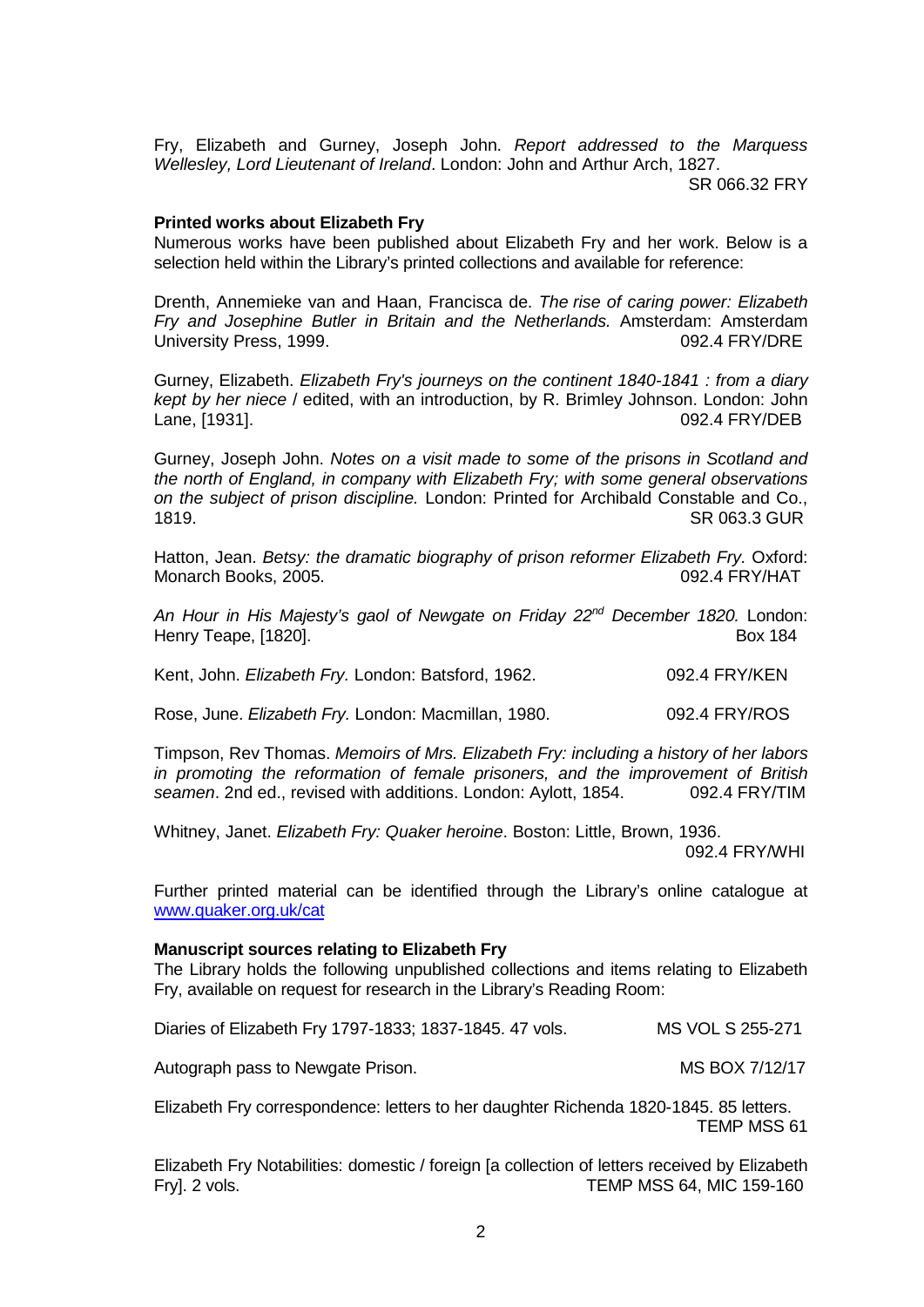Fry, Elizabeth and Gurney, Joseph John. *Report addressed to the Marquess Wellesley, Lord Lieutenant of Ireland*. London: John and Arthur Arch, 1827.

SR 066.32 FRY

#### **Printed works about Elizabeth Fry**

Numerous works have been published about Elizabeth Fry and her work. Below is a selection held within the Library's printed collections and available for reference:

Drenth, Annemieke van and Haan, Francisca de. *The rise of caring power: Elizabeth Fry and Josephine Butler in Britain and the Netherlands.* Amsterdam: Amsterdam University Press, 1999.

Gurney, Elizabeth. *Elizabeth Fry's journeys on the continent 1840-1841 : from a diary kept by her niece* / edited, with an introduction, by R. Brimley Johnson. London: John Lane, [1931].

Gurney, Joseph John. *Notes on a visit made to some of the prisons in Scotland and the north of England, in company with Elizabeth Fry; with some general observations on the subject of prison discipline.* London: Printed for Archibald Constable and Co., 1819. SR 063.3 GUR

Hatton, Jean. *Betsy: the dramatic biography of prison reformer Elizabeth Fry.* Oxford: Monarch Books, 2005. 092.4 FRY/HAT

*An Hour in His Majesty's gaol of Newgate on Friday 22nd December 1820.* London: Henry Teape, [1820].

Kent, John. *Elizabeth Fry.* London: Batsford, 1962. 092.4 FRY/KEN

Rose, June. *Elizabeth Fry.* London: Macmillan, 1980. 092.4 FRY/ROS

Timpson, Rev Thomas. *Memoirs of Mrs. Elizabeth Fry: including a history of her labors in promoting the reformation of female prisoners, and the improvement of British seamen*. 2nd ed., revised with additions. London: Aylott, 1854. 092.4 FRY/TIM

Whitney, Janet. *Elizabeth Fry: Quaker heroine*. Boston: Little, Brown, 1936. 092.4 FRY/WHI

Further printed material can be identified through the Library's online catalogue at [www.quaker.org.uk/cat](http://www.quaker.org.uk/cat)

#### **Manuscript sources relating to Elizabeth Fry**

The Library holds the following unpublished collections and items relating to Elizabeth Fry, available on request for research in the Library's Reading Room:

Diaries of Elizabeth Fry 1797-1833; 1837-1845. 47 vols. MS VOL S 255-271

Autograph pass to Newgate Prison. The mass of the MS BOX 7/12/17

Elizabeth Fry correspondence: letters to her daughter Richenda 1820-1845. 85 letters. TEMP MSS 61

Elizabeth Fry Notabilities: domestic / foreign [a collection of letters received by Elizabeth Fry]. 2 vols. TEMP MSS 64, MIC 159-160